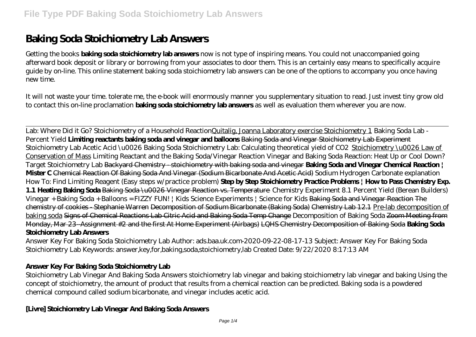# **Baking Soda Stoichiometry Lab Answers**

Getting the books **baking soda stoichiometry lab answers** now is not type of inspiring means. You could not unaccompanied going afterward book deposit or library or borrowing from your associates to door them. This is an certainly easy means to specifically acquire guide by on-line. This online statement baking soda stoichiometry lab answers can be one of the options to accompany you once having new time.

It will not waste your time. tolerate me, the e-book will enormously manner you supplementary situation to read. Just invest tiny grow old to contact this on-line proclamation **baking soda stoichiometry lab answers** as well as evaluation them wherever you are now.

Lab: Where Did it Go? Stoichiometry of a Household ReactionQuitalig, Joanna Laboratory exercise Stoichiometry 1 Baking Soda Lab - Percent Yield **Limiting reactants baking soda and vinegar and balloons** Baking Soda and Vinegar Stoichiometry Lab Experiment *Stoichiometry Lab Acetic Acid \u0026 Baking Soda Stoichiometry Lab: Calculating theoretical yield of CO2* Stoichiometry \u0026 Law of Conservation of Mass *Limiting Reactant and the Baking Soda/Vinegar Reaction Vinegar and Baking Soda Reaction: Heat Up or Cool Down? Target Stoichiometry Lab* Backyard Chemistry - stoichiometry with baking soda and vinegar **Baking Soda and Vinegar Chemical Reaction | Mister C** Chemical Reaction Of Baking Soda And Vinegar (Sodium Bicarbonate And Acetic Acid) *Sodium Hydrogen Carbonate explanation How To: Find Limiting Reagent (Easy steps w/practice problem)* **Step by Step Stoichiometry Practice Problems | How to Pass Chemistry Exp. 1.1 Heating Baking Soda** Baking Soda \u0026 Vinegar Reaction vs. Temperature *Chemistry Experiment 8.1 Percent Yield (Berean Builders) Vinegar + Baking Soda + Balloons = FIZZY FUN! | Kids Science Experiments | Science for Kids* Baking Soda and Vinegar Reaction The chemistry of cookies - Stephanie Warren Decomposition of Sodium Bicarbonate (Baking Soda) Chemistry Lab 12.1 Pre-lab decomposition of baking soda Signs of Chemical Reactions Lab Citric Acid and Baking Soda Temp Change *Decomposition of Baking Soda* Zoom Meeting from Monday, Mar 23--Assignment #2 and the first At Home Experiment (Airbags) LQHS Chemistry Decomposition of Baking Soda **Baking Soda Stoichiometry Lab Answers**

Answer Key For Baking Soda Stoichiometry Lab Author: ads.baa.uk.com-2020-09-22-08-17-13 Subject: Answer Key For Baking Soda Stoichiometry Lab Keywords: answer,key,for,baking,soda,stoichiometry,lab Created Date: 9/22/2020 8:17:13 AM

# **Answer Key For Baking Soda Stoichiometry Lab**

Stoichiometry Lab Vinegar And Baking Soda Answers stoichiometry lab vinegar and baking stoichiometry lab vinegar and baking Using the concept of stoichiometry, the amount of product that results from a chemical reaction can be predicted. Baking soda is a powdered chemical compound called sodium bicarbonate, and vinegar includes acetic acid.

# **[Livre] Stoichiometry Lab Vinegar And Baking Soda Answers**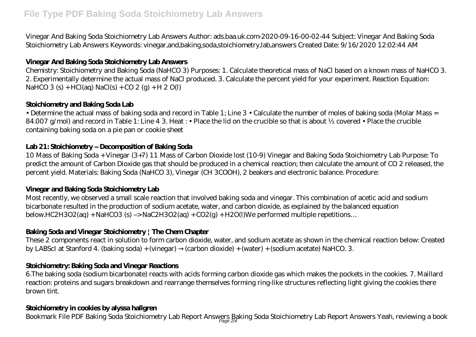# **File Type PDF Baking Soda Stoichiometry Lab Answers**

Vinegar And Baking Soda Stoichiometry Lab Answers Author: ads.baa.uk.com-2020-09-16-00-02-44 Subject: Vinegar And Baking Soda Stoichiometry Lab Answers Keywords: vinegar,and,baking,soda,stoichiometry,lab,answers Created Date: 9/16/2020 12:02:44 AM

# **Vinegar And Baking Soda Stoichiometry Lab Answers**

Chemistry: Stoichiometry and Baking Soda (NaHCO 3) Purposes: 1. Calculate theoretical mass of NaCl based on a known mass of NaHCO 3. 2. Experimentally determine the actual mass of NaCl produced. 3. Calculate the percent yield for your experiment. Reaction Equation:  $NaHCO 3 (s) + HCl(aq) NaCl(s) + CO 2 (g) + H 2 O(l)$ 

# **Stoichiometry and Baking Soda Lab**

• Determine the actual mass of baking soda and record in Table 1; Line 3 • Calculate the number of moles of baking soda (Molar Mass = 84.007 g/mol) and record in Table 1: Line 4 3. Heat : • Place the lid on the crucible so that is about ½ covered • Place the crucible containing baking soda on a pie pan or cookie sheet

# **Lab 21: Stoichiometry – Decomposition of Baking Soda**

10 Mass of Baking Soda + Vinegar (3+7) 11 Mass of Carbon Dioxide lost (10-9) Vinegar and Baking Soda Stoichiometry Lab Purpose: To predict the amount of Carbon Dioxide gas that should be produced in a chemical reaction; then calculate the amount of CO 2 released, the percent yield. Materials: Baking Soda (NaHCO 3), Vinegar (CH 3COOH), 2 beakers and electronic balance. Procedure:

# **Vinegar and Baking Soda Stoichiometry Lab**

Most recently, we observed a small scale reaction that involved baking soda and vinegar. This combination of acetic acid and sodium bicarbonate resulted in the production of sodium acetate, water, and carbon dioxide, as explained by the balanced equation below.HC2H3O2(aq) + NaHCO3 (s) –> NaC2H3O2(aq) + CO2(g) + H2O(l)We performed multiple repetitions…

# **Baking Soda and Vinegar Stoichiometry | The Chem Chapter**

These 2 components react in solution to form carbon dioxide, water, and sodium acetate as shown in the chemical reaction below: Created by LABScI at Stanford 4. (baking soda) + (vinegar) (carbon dioxide) + (water) + (sodium acetate) NaHCO. 3.

# **Stoichiometry: Baking Soda and Vinegar Reactions**

6.The baking soda (sodium bicarbonate) reacts with acids forming carbon dioxide gas which makes the pockets in the cookies. 7. Maillard reaction: proteins and sugars breakdown and rearrange themselves forming ring-like structures reflecting light giving the cookies there brown tint.

#### **Stoichiometry in cookies by alyssa hallgren**

Bookmark File PDF Baking Soda Stoichiometry Lab Report Answers Baking Soda Stoichiometry Lab Report Answers Yeah, reviewing a book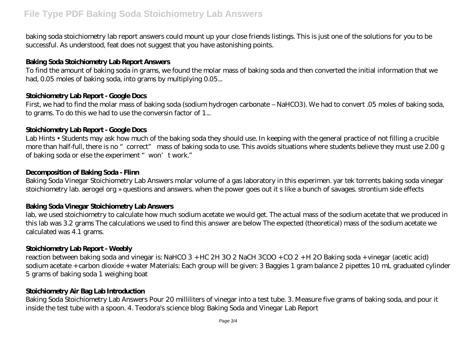baking soda stoichiometry lab report answers could mount up your close friends listings. This is just one of the solutions for you to be successful. As understood, feat does not suggest that you have astonishing points.

#### **Baking Soda Stoichiometry Lab Report Answers**

To find the amount of baking soda in grams, we found the molar mass of baking soda and then converted the initial information that we had, 0.05 moles of baking soda, into grams by multiplying 0.05...

#### **Stoichiometry Lab Report - Google Docs**

First, we had to find the molar mass of baking soda (sodium hydrogen carbonate – NaHCO3). We had to convert .05 moles of baking soda, to grams. To do this we had to use the conversin factor of 1...

#### **Stoichiometry Lab Report - Google Docs**

Lab Hints • Students may ask how much of the baking soda they should use. In keeping with the general practice of not filling a crucible more than half-full, there is no "correct" mass of baking soda to use. This avoids situations where students believe they must use 2.00 g of baking soda or else the experiment "won't work."

#### **Decomposition of Baking Soda - Flinn**

Baking Soda Vinegar Stoichiometry Lab Answers molar volume of a gas laboratory in this experimen. yar tek torrents baking soda vinegar stoichiometry lab. aerogel org » questions and answers. when the power goes out it s like a bunch of savages. strontium side effects

#### **Baking Soda Vinegar Stoichiometry Lab Answers**

lab, we used stoichiometry to calculate how much sodium acetate we would get. The actual mass of the sodium acetate that we produced in this lab was 3.2 grams The calculations we used to find this answer are below The expected (theoretical) mass of the sodium acetate we calculated was 4.1 grams.

#### **Stoichiometry Lab Report - Weebly**

reaction between baking soda and vinegar is: NaHCO 3 + HC 2H 3O 2 NaCH 3COO + CO 2 + H 2O Baking soda + vinegar (acetic acid) sodium acetate + carbon dioxide + water Materials: Each group will be given: 3 Baggies 1 gram balance 2 pipettes 10 mL graduated cylinder 5 grams of baking soda 1 weighing boat

#### **Stoichiometry Air Bag Lab Introduction**

Baking Soda Stoichiometry Lab Answers Pour 20 milliliters of vinegar into a test tube. 3. Measure five grams of baking soda, and pour it inside the test tube with a spoon. 4. Teodora's science blog: Baking Soda and Vinegar Lab Report